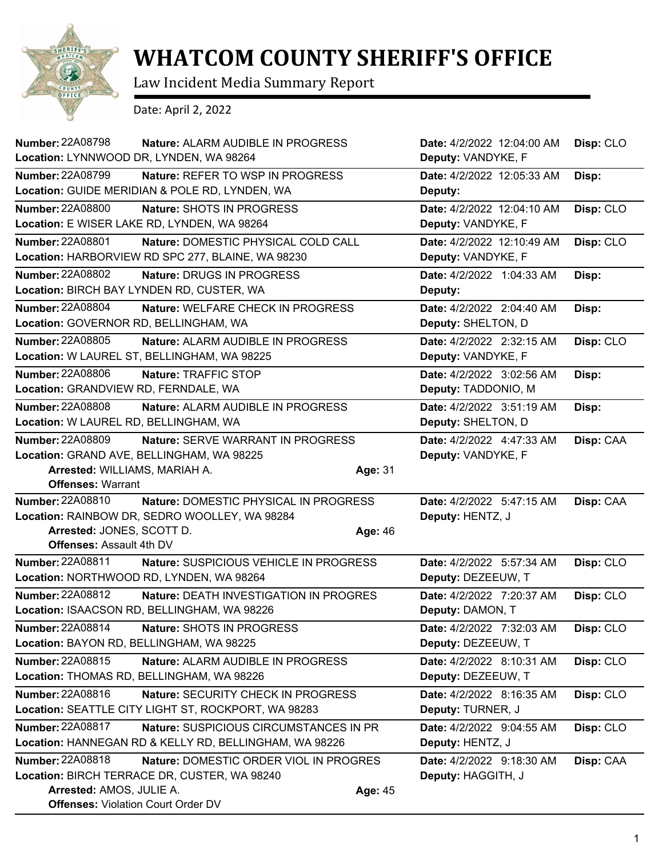

## **WHATCOM COUNTY SHERIFF'S OFFICE**

Law Incident Media Summary Report

Date: April 2, 2022

| Number: 22A08798<br><b>Nature: ALARM AUDIBLE IN PROGRESS</b><br>Location: LYNNWOOD DR, LYNDEN, WA 98264          | Date: 4/2/2022 12:04:00 AM<br>Deputy: VANDYKE, F | Disp: CLO |
|------------------------------------------------------------------------------------------------------------------|--------------------------------------------------|-----------|
| <b>Number: 22A08799</b><br><b>Nature: REFER TO WSP IN PROGRESS</b>                                               | Date: 4/2/2022 12:05:33 AM                       | Disp:     |
| Location: GUIDE MERIDIAN & POLE RD, LYNDEN, WA                                                                   | Deputy:                                          |           |
| <b>Number: 22A08800</b><br>Nature: SHOTS IN PROGRESS<br>Location: E WISER LAKE RD, LYNDEN, WA 98264              | Date: 4/2/2022 12:04:10 AM<br>Deputy: VANDYKE, F | Disp: CLO |
| Number: 22A08801<br>Nature: DOMESTIC PHYSICAL COLD CALL                                                          | Date: 4/2/2022 12:10:49 AM                       | Disp: CLO |
| Location: HARBORVIEW RD SPC 277, BLAINE, WA 98230                                                                | Deputy: VANDYKE, F                               |           |
| Number: 22A08802<br>Nature: DRUGS IN PROGRESS                                                                    | Date: 4/2/2022 1:04:33 AM                        | Disp:     |
| Location: BIRCH BAY LYNDEN RD, CUSTER, WA                                                                        | Deputy:                                          |           |
| <b>Number: 22A08804</b><br>Nature: WELFARE CHECK IN PROGRESS<br>Location: GOVERNOR RD, BELLINGHAM, WA            | Date: 4/2/2022 2:04:40 AM<br>Deputy: SHELTON, D  | Disp:     |
| Number: 22A08805<br>Nature: ALARM AUDIBLE IN PROGRESS                                                            | Date: 4/2/2022 2:32:15 AM                        | Disp: CLO |
| Location: W LAUREL ST, BELLINGHAM, WA 98225                                                                      | Deputy: VANDYKE, F                               |           |
| <b>Number: 22A08806</b><br>Nature: TRAFFIC STOP                                                                  | Date: 4/2/2022 3:02:56 AM                        | Disp:     |
| Location: GRANDVIEW RD, FERNDALE, WA                                                                             | Deputy: TADDONIO, M                              |           |
| Number: 22A08808<br>Nature: ALARM AUDIBLE IN PROGRESS                                                            | Date: 4/2/2022 3:51:19 AM                        | Disp:     |
| Location: W LAUREL RD, BELLINGHAM, WA                                                                            | Deputy: SHELTON, D                               |           |
| <b>Number: 22A08809</b><br>Nature: SERVE WARRANT IN PROGRESS                                                     | Date: 4/2/2022 4:47:33 AM                        | Disp: CAA |
| Location: GRAND AVE, BELLINGHAM, WA 98225                                                                        | Deputy: VANDYKE, F                               |           |
| Arrested: WILLIAMS, MARIAH A.                                                                                    | Age: 31                                          |           |
| <b>Offenses: Warrant</b>                                                                                         |                                                  |           |
| <b>Number: 22A08810</b><br><b>Nature: DOMESTIC PHYSICAL IN PROGRESS</b>                                          | Date: 4/2/2022 5:47:15 AM                        | Disp: CAA |
| Location: RAINBOW DR, SEDRO WOOLLEY, WA 98284<br>Arrested: JONES, SCOTT D.                                       | Deputy: HENTZ, J                                 |           |
| <b>Offenses: Assault 4th DV</b>                                                                                  | Age: 46                                          |           |
| Number: 22A08811<br>Nature: SUSPICIOUS VEHICLE IN PROGRESS<br>Location: NORTHWOOD RD, LYNDEN, WA 98264           | Date: 4/2/2022 5:57:34 AM<br>Deputy: DEZEEUW, T  | Disp: CLO |
| <b>Number: 22A08812</b><br>Nature: DEATH INVESTIGATION IN PROGRES<br>Location: ISAACSON RD, BELLINGHAM, WA 98226 | Date: 4/2/2022 7:20:37 AM<br>Deputy: DAMON, T    | Disp: CLO |
| Number: 22A08814<br>Nature: SHOTS IN PROGRESS<br>Location: BAYON RD, BELLINGHAM, WA 98225                        | Date: 4/2/2022 7:32:03 AM<br>Deputy: DEZEEUW, T  | Disp: CLO |
| Number: 22A08815<br>Nature: ALARM AUDIBLE IN PROGRESS<br>Location: THOMAS RD, BELLINGHAM, WA 98226               | Date: 4/2/2022 8:10:31 AM<br>Deputy: DEZEEUW, T  | Disp: CLO |
| Number: 22A08816<br>Nature: SECURITY CHECK IN PROGRESS                                                           | Date: 4/2/2022 8:16:35 AM                        | Disp: CLO |
| Location: SEATTLE CITY LIGHT ST, ROCKPORT, WA 98283                                                              | Deputy: TURNER, J                                |           |
| <b>Number: 22A08817</b><br>Nature: SUSPICIOUS CIRCUMSTANCES IN PR                                                | Date: 4/2/2022 9:04:55 AM                        | Disp: CLO |
| Location: HANNEGAN RD & KELLY RD, BELLINGHAM, WA 98226                                                           | Deputy: HENTZ, J                                 |           |
| <b>Number: 22A08818</b><br>Nature: DOMESTIC ORDER VIOL IN PROGRES                                                | Date: 4/2/2022 9:18:30 AM                        | Disp: CAA |
| Location: BIRCH TERRACE DR, CUSTER, WA 98240                                                                     | Deputy: HAGGITH, J                               |           |
| Arrested: AMOS, JULIE A.<br><b>Offenses: Violation Court Order DV</b>                                            | Age: 45                                          |           |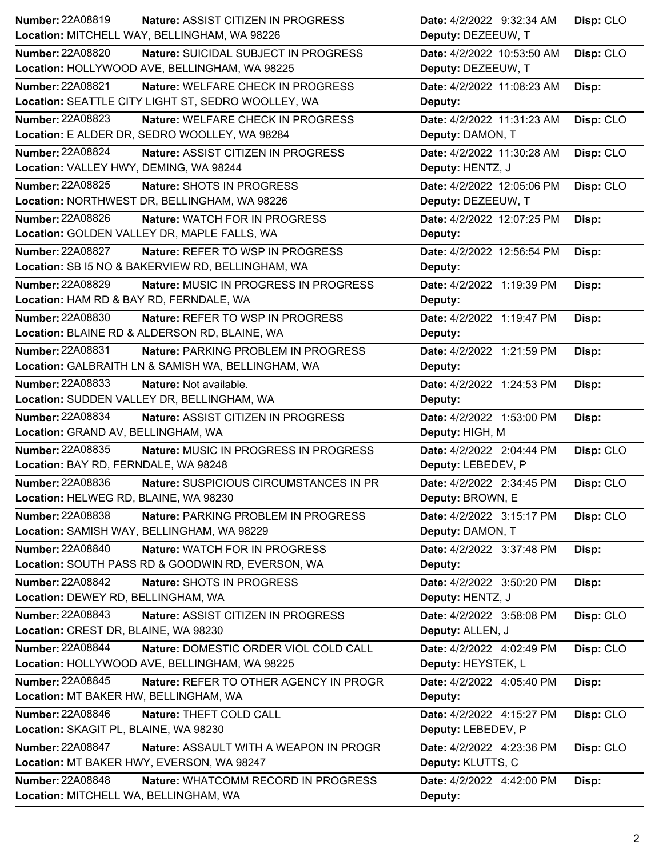| Number: 22A08819<br><b>Nature: ASSIST CITIZEN IN PROGRESS</b>          | Date: 4/2/2022 9:32:34 AM  | Disp: CLO |
|------------------------------------------------------------------------|----------------------------|-----------|
| Location: MITCHELL WAY, BELLINGHAM, WA 98226                           | Deputy: DEZEEUW, T         |           |
| <b>Number: 22A08820</b><br><b>Nature: SUICIDAL SUBJECT IN PROGRESS</b> | Date: 4/2/2022 10:53:50 AM | Disp: CLO |
| Location: HOLLYWOOD AVE, BELLINGHAM, WA 98225                          | Deputy: DEZEEUW, T         |           |
| <b>Number: 22A08821</b><br>Nature: WELFARE CHECK IN PROGRESS           | Date: 4/2/2022 11:08:23 AM | Disp:     |
| Location: SEATTLE CITY LIGHT ST, SEDRO WOOLLEY, WA                     | Deputy:                    |           |
| Number: 22A08823<br>Nature: WELFARE CHECK IN PROGRESS                  | Date: 4/2/2022 11:31:23 AM | Disp: CLO |
| Location: E ALDER DR, SEDRO WOOLLEY, WA 98284                          | Deputy: DAMON, T           |           |
| <b>Number: 22A08824</b><br>Nature: ASSIST CITIZEN IN PROGRESS          | Date: 4/2/2022 11:30:28 AM | Disp: CLO |
| Location: VALLEY HWY, DEMING, WA 98244                                 | Deputy: HENTZ, J           |           |
| Number: 22A08825<br>Nature: SHOTS IN PROGRESS                          | Date: 4/2/2022 12:05:06 PM | Disp: CLO |
| Location: NORTHWEST DR, BELLINGHAM, WA 98226                           | Deputy: DEZEEUW, T         |           |
| <b>Number: 22A08826</b><br>Nature: WATCH FOR IN PROGRESS               | Date: 4/2/2022 12:07:25 PM | Disp:     |
| Location: GOLDEN VALLEY DR, MAPLE FALLS, WA                            | Deputy:                    |           |
| <b>Number: 22A08827</b><br>Nature: REFER TO WSP IN PROGRESS            | Date: 4/2/2022 12:56:54 PM | Disp:     |
| Location: SB I5 NO & BAKERVIEW RD, BELLINGHAM, WA                      | Deputy:                    |           |
| <b>Number: 22A08829</b><br>Nature: MUSIC IN PROGRESS IN PROGRESS       | Date: 4/2/2022 1:19:39 PM  | Disp:     |
| Location: HAM RD & BAY RD, FERNDALE, WA                                | Deputy:                    |           |
| Number: 22A08830<br>Nature: REFER TO WSP IN PROGRESS                   | Date: 4/2/2022 1:19:47 PM  | Disp:     |
| Location: BLAINE RD & ALDERSON RD, BLAINE, WA                          | Deputy:                    |           |
| <b>Number: 22A08831</b><br>Nature: PARKING PROBLEM IN PROGRESS         | Date: 4/2/2022 1:21:59 PM  | Disp:     |
| Location: GALBRAITH LN & SAMISH WA, BELLINGHAM, WA                     | Deputy:                    |           |
| Number: 22A08833<br>Nature: Not available.                             | Date: 4/2/2022 1:24:53 PM  | Disp:     |
| Location: SUDDEN VALLEY DR, BELLINGHAM, WA                             | Deputy:                    |           |
|                                                                        |                            |           |
| <b>Number: 22A08834</b><br>Nature: ASSIST CITIZEN IN PROGRESS          | Date: 4/2/2022 1:53:00 PM  | Disp:     |
| Location: GRAND AV, BELLINGHAM, WA                                     | Deputy: HIGH, M            |           |
| <b>Number: 22A08835</b><br>Nature: MUSIC IN PROGRESS IN PROGRESS       | Date: 4/2/2022 2:04:44 PM  | Disp: CLO |
| Location: BAY RD, FERNDALE, WA 98248                                   | Deputy: LEBEDEV, P         |           |
| Number: 22A08836<br>Nature: SUSPICIOUS CIRCUMSTANCES IN PR             | Date: 4/2/2022 2:34:45 PM  | Disp: CLO |
| Location: HELWEG RD, BLAINE, WA 98230                                  | Deputy: BROWN, E           |           |
| <b>Number: 22A08838</b><br>Nature: PARKING PROBLEM IN PROGRESS         | Date: 4/2/2022 3:15:17 PM  | Disp: CLO |
| Location: SAMISH WAY, BELLINGHAM, WA 98229                             | Deputy: DAMON, T           |           |
| Number: 22A08840<br>Nature: WATCH FOR IN PROGRESS                      | Date: 4/2/2022 3:37:48 PM  | Disp:     |
| Location: SOUTH PASS RD & GOODWIN RD, EVERSON, WA                      | Deputy:                    |           |
| <b>Number: 22A08842</b><br>Nature: SHOTS IN PROGRESS                   | Date: 4/2/2022 3:50:20 PM  | Disp:     |
| Location: DEWEY RD, BELLINGHAM, WA                                     | Deputy: HENTZ, J           |           |
| Number: 22A08843<br>Nature: ASSIST CITIZEN IN PROGRESS                 | Date: 4/2/2022 3:58:08 PM  | Disp: CLO |
| Location: CREST DR, BLAINE, WA 98230                                   | Deputy: ALLEN, J           |           |
| <b>Number: 22A08844</b><br>Nature: DOMESTIC ORDER VIOL COLD CALL       | Date: 4/2/2022 4:02:49 PM  | Disp: CLO |
| Location: HOLLYWOOD AVE, BELLINGHAM, WA 98225                          | Deputy: HEYSTEK, L         |           |
| <b>Number: 22A08845</b><br>Nature: REFER TO OTHER AGENCY IN PROGR      | Date: 4/2/2022 4:05:40 PM  | Disp:     |
| Location: MT BAKER HW, BELLINGHAM, WA                                  | Deputy:                    |           |
| Number: 22A08846<br>Nature: THEFT COLD CALL                            | Date: 4/2/2022 4:15:27 PM  | Disp: CLO |
| Location: SKAGIT PL, BLAINE, WA 98230                                  | Deputy: LEBEDEV, P         |           |
| <b>Number: 22A08847</b><br>Nature: ASSAULT WITH A WEAPON IN PROGR      | Date: 4/2/2022 4:23:36 PM  | Disp: CLO |
| Location: MT BAKER HWY, EVERSON, WA 98247                              | Deputy: KLUTTS, C          |           |
| Number: 22A08848<br>Nature: WHATCOMM RECORD IN PROGRESS                | Date: 4/2/2022 4:42:00 PM  | Disp:     |